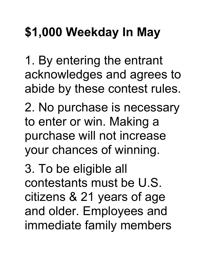## **\$1,000 Weekday In May**

1. By entering the entrant acknowledges and agrees to abide by these contest rules.

2. No purchase is necessary to enter or win. Making a purchase will not increase your chances of winning.

3. To be eligible all contestants must be U.S. citizens & 21 years of age and older. Employees and immediate family members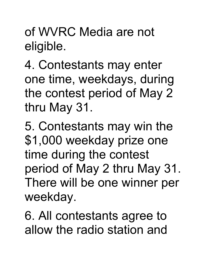of WVRC Media are not eligible.

4. Contestants may enter one time, weekdays, during the contest period of May 2 thru May 31.

5. Contestants may win the \$1,000 weekday prize one time during the contest period of May 2 thru May 31. There will be one winner per weekday.

6. All contestants agree to allow the radio station and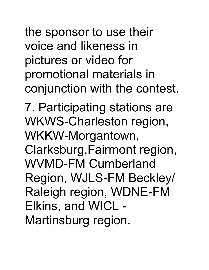the sponsor to use their voice and likeness in pictures or video for promotional materials in conjunction with the contest.

7. Participating stations are WKWS-Charleston region, WKKW-Morgantown, Clarksburg,Fairmont region, WVMD-FM Cumberland Region, WJLS-FM Beckley/ Raleigh region, WDNE-FM Elkins, and WICL - Martinsburg region.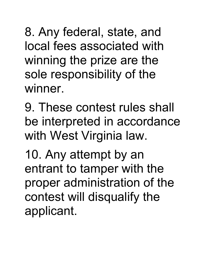8. Any federal, state, and local fees associated with winning the prize are the sole responsibility of the winner.

9. These contest rules shall be interpreted in accordance with West Virginia law.

10. Any attempt by an entrant to tamper with the proper administration of the contest will disqualify the applicant.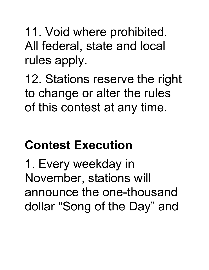11. Void where prohibited. All federal, state and local rules apply.

12. Stations reserve the right to change or alter the rules of this contest at any time.

## **Contest Execution**

1. Every weekday in November, stations will announce the one-thousand dollar "Song of the Day" and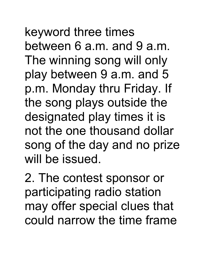keyword three times between 6 a.m. and 9 a.m. The winning song will only play between 9 a.m. and 5 p.m. Monday thru Friday. If the song plays outside the designated play times it is not the one thousand dollar song of the day and no prize will be issued.

2. The contest sponsor or participating radio station may offer special clues that could narrow the time frame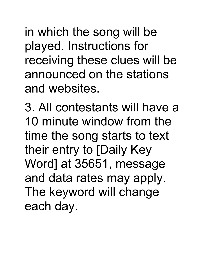in which the song will be played. Instructions for receiving these clues will be announced on the stations and websites.

3. All contestants will have a 10 minute window from the time the song starts to text their entry to [Daily Key Word] at 35651, message and data rates may apply. The keyword will change each day.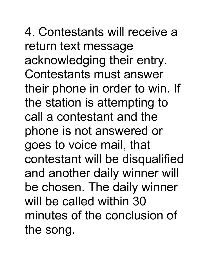4. Contestants will receive a return text message acknowledging their entry. Contestants must answer their phone in order to win. If the station is attempting to call a contestant and the phone is not answered or goes to voice mail, that contestant will be disqualified and another daily winner will be chosen. The daily winner will be called within 30 minutes of the conclusion of the song.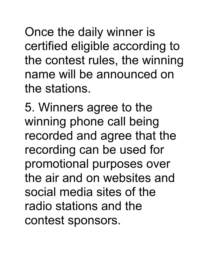Once the daily winner is certified eligible according to the contest rules, the winning name will be announced on the stations.

5. Winners agree to the winning phone call being recorded and agree that the recording can be used for promotional purposes over the air and on websites and social media sites of the radio stations and the contest sponsors.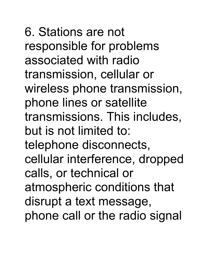6. Stations are not responsible for problems associated with radio transmission, cellular or wireless phone transmission, phone lines or satellite transmissions. This includes, but is not limited to: telephone disconnects, cellular interference, dropped calls, or technical or atmospheric conditions that disrupt a text message, phone call or the radio signal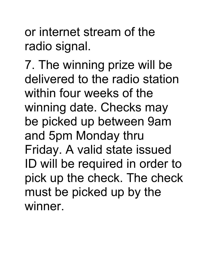or internet stream of the radio signal.

7. The winning prize will be delivered to the radio station within four weeks of the winning date. Checks may be picked up between 9am and 5pm Monday thru Friday. A valid state issued ID will be required in order to pick up the check. The check must be picked up by the winner.